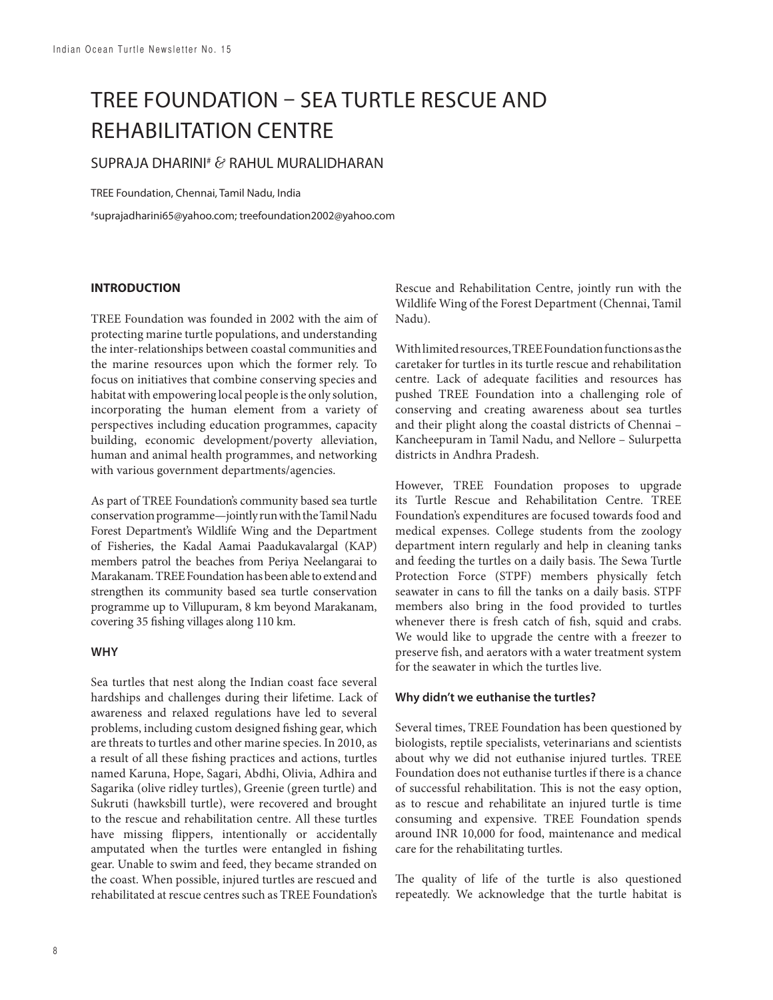# TREE FOUNDATION – SEA TURTLE RESCUE AND REHABILITATION CENTRE

## SUPRAJA DHARINI# & RAHUL MURALIDHARAN

TREE Foundation, Chennai, Tamil Nadu, India

# suprajadharini65@yahoo.com; treefoundation2002@yahoo.com

#### **INTRODUCTION**

TREE Foundation was founded in 2002 with the aim of protecting marine turtle populations, and understanding the inter-relationships between coastal communities and the marine resources upon which the former rely. To focus on initiatives that combine conserving species and habitat with empowering local people is the only solution, incorporating the human element from a variety of perspectives including education programmes, capacity building, economic development/poverty alleviation, human and animal health programmes, and networking with various government departments/agencies.

As part of TREE Foundation's community based sea turtle conservation programme—jointly run with the Tamil Nadu Forest Department's Wildlife Wing and the Department of Fisheries, the Kadal Aamai Paadukavalargal (KAP) members patrol the beaches from Periya Neelangarai to Marakanam. TREE Foundation has been able to extend and strengthen its community based sea turtle conservation programme up to Villupuram, 8 km beyond Marakanam, covering 35 fishing villages along 110 km.

#### **WHY**

Sea turtles that nest along the Indian coast face several hardships and challenges during their lifetime. Lack of awareness and relaxed regulations have led to several problems, including custom designed fishing gear, which are threats to turtles and other marine species. In 2010, as a result of all these fishing practices and actions, turtles named Karuna, Hope, Sagari, Abdhi, Olivia, Adhira and Sagarika (olive ridley turtles), Greenie (green turtle) and Sukruti (hawksbill turtle), were recovered and brought to the rescue and rehabilitation centre. All these turtles have missing flippers, intentionally or accidentally amputated when the turtles were entangled in fishing gear. Unable to swim and feed, they became stranded on the coast. When possible, injured turtles are rescued and rehabilitated at rescue centres such as TREE Foundation's Rescue and Rehabilitation Centre, jointly run with the Wildlife Wing of the Forest Department (Chennai, Tamil Nadu).

With limited resources, TREE Foundation functions as the caretaker for turtles in its turtle rescue and rehabilitation centre. Lack of adequate facilities and resources has pushed TREE Foundation into a challenging role of conserving and creating awareness about sea turtles and their plight along the coastal districts of Chennai – Kancheepuram in Tamil Nadu, and Nellore – Sulurpetta districts in Andhra Pradesh.

However, TREE Foundation proposes to upgrade its Turtle Rescue and Rehabilitation Centre. TREE Foundation's expenditures are focused towards food and medical expenses. College students from the zoology department intern regularly and help in cleaning tanks and feeding the turtles on a daily basis. The Sewa Turtle Protection Force (STPF) members physically fetch seawater in cans to fill the tanks on a daily basis. STPF members also bring in the food provided to turtles whenever there is fresh catch of fish, squid and crabs. We would like to upgrade the centre with a freezer to preserve fish, and aerators with a water treatment system for the seawater in which the turtles live.

#### **Why didn't we euthanise the turtles?**

Several times, TREE Foundation has been questioned by biologists, reptile specialists, veterinarians and scientists about why we did not euthanise injured turtles. TREE Foundation does not euthanise turtles if there is a chance of successful rehabilitation. This is not the easy option, as to rescue and rehabilitate an injured turtle is time consuming and expensive. TREE Foundation spends around INR 10,000 for food, maintenance and medical care for the rehabilitating turtles.

The quality of life of the turtle is also questioned repeatedly. We acknowledge that the turtle habitat is